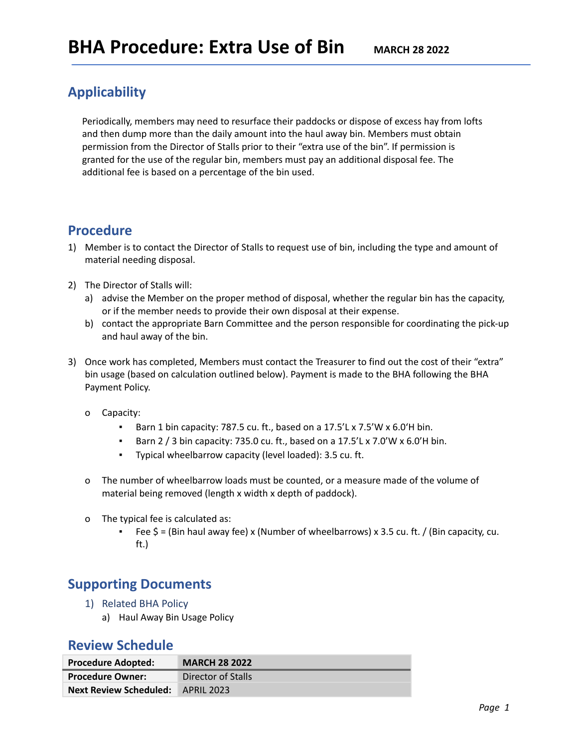## **Applicability**

Periodically, members may need to resurface their paddocks or dispose of excess hay from lofts and then dump more than the daily amount into the haul away bin. Members must obtain permission from the Director of Stalls prior to their "extra use of the bin". If permission is granted for the use of the regular bin, members must pay an additional disposal fee. The additional fee is based on a percentage of the bin used.

### **Procedure**

- 1) Member is to contact the Director of Stalls to request use of bin, including the type and amount of material needing disposal.
- 2) The Director of Stalls will:
	- a) advise the Member on the proper method of disposal, whether the regular bin has the capacity, or if the member needs to provide their own disposal at their expense.
	- b) contact the appropriate Barn Committee and the person responsible for coordinating the pick-up and haul away of the bin.
- 3) Once work has completed, Members must contact the Treasurer to find out the cost of their "extra" bin usage (based on calculation outlined below). Payment is made to the BHA following the BHA Payment Policy.
	- o Capacity:
		- Barn 1 bin capacity: 787.5 cu. ft., based on a 17.5'L x 7.5'W x 6.0'H bin.
		- **•** Barn 2 / 3 bin capacity: 735.0 cu. ft., based on a 17.5'L x 7.0'W x 6.0'H bin.
		- Typical wheelbarrow capacity (level loaded): 3.5 cu. ft.
	- o The number of wheelbarrow loads must be counted, or a measure made of the volume of material being removed (length x width x depth of paddock).
	- o The typical fee is calculated as:
		- **•** Fee  $\zeta$  = (Bin haul away fee) x (Number of wheelbarrows) x 3.5 cu. ft. / (Bin capacity, cu. ft.)

## **Supporting Documents**

- 1) Related BHA Policy
	- a) Haul Away Bin Usage Policy

#### **Review Schedule**

| <b>Procedure Adopted:</b>                | <b>MARCH 28 2022</b> |
|------------------------------------------|----------------------|
| <b>Procedure Owner:</b>                  | Director of Stalls   |
| <b>Next Review Scheduled:</b> APRIL 2023 |                      |